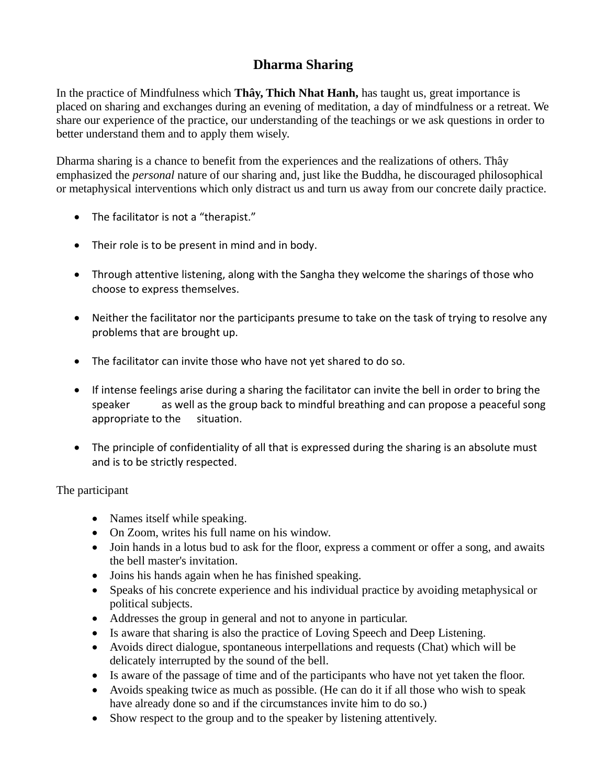## **Dharma Sharing**

In the practice of Mindfulness which **Thây, Thich Nhat Hanh,** has taught us, great importance is placed on sharing and exchanges during an evening of meditation, a day of mindfulness or a retreat. We share our experience of the practice, our understanding of the teachings or we ask questions in order to better understand them and to apply them wisely.

Dharma sharing is a chance to benefit from the experiences and the realizations of others. Thây emphasized the *personal* nature of our sharing and, just like the Buddha, he discouraged philosophical or metaphysical interventions which only distract us and turn us away from our concrete daily practice.

- The facilitator is not a "therapist."
- Their role is to be present in mind and in body.
- Through attentive listening, along with the Sangha they welcome the sharings of those who choose to express themselves.
- Neither the facilitator nor the participants presume to take on the task of trying to resolve any problems that are brought up.
- The facilitator can invite those who have not yet shared to do so.
- If intense feelings arise during a sharing the facilitator can invite the bell in order to bring the speaker as well as the group back to mindful breathing and can propose a peaceful song appropriate to the situation.
- The principle of confidentiality of all that is expressed during the sharing is an absolute must and is to be strictly respected.

The participant

- Names itself while speaking.
- On Zoom, writes his full name on his window.
- Join hands in a lotus bud to ask for the floor, express a comment or offer a song, and awaits the bell master's invitation.
- Joins his hands again when he has finished speaking.
- Speaks of his concrete experience and his individual practice by avoiding metaphysical or political subjects.
- Addresses the group in general and not to anyone in particular.
- Is aware that sharing is also the practice of Loving Speech and Deep Listening.
- Avoids direct dialogue, spontaneous interpellations and requests (Chat) which will be delicately interrupted by the sound of the bell.
- Is aware of the passage of time and of the participants who have not yet taken the floor.
- Avoids speaking twice as much as possible. (He can do it if all those who wish to speak have already done so and if the circumstances invite him to do so.)
- Show respect to the group and to the speaker by listening attentively.